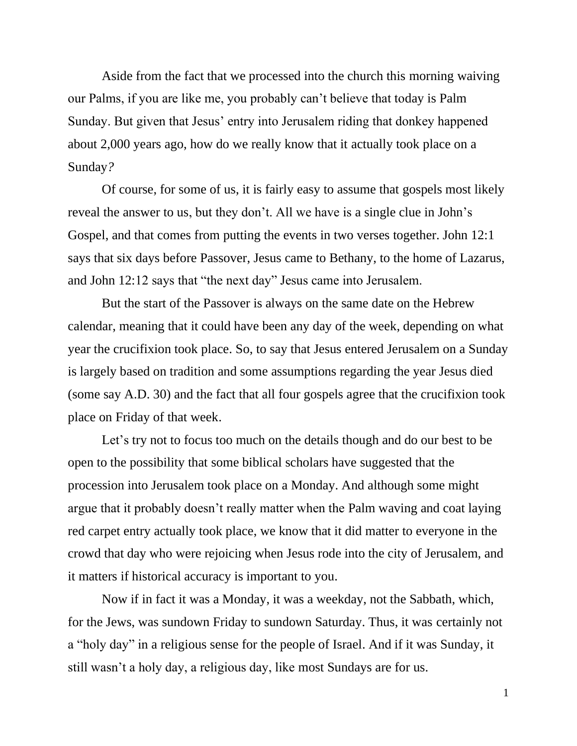Aside from the fact that we processed into the church this morning waiving our Palms, if you are like me, you probably can't believe that today is Palm Sunday. But given that Jesus' entry into Jerusalem riding that donkey happened about 2,000 years ago, how do we really know that it actually took place on a Sunday*?*

Of course, for some of us, it is fairly easy to assume that gospels most likely reveal the answer to us, but they don't. All we have is a single clue in John's Gospel, and that comes from putting the events in two verses together. John 12:1 says that six days before Passover, Jesus came to Bethany, to the home of Lazarus, and John 12:12 says that "the next day" Jesus came into Jerusalem.

But the start of the Passover is always on the same date on the Hebrew calendar, meaning that it could have been any day of the week, depending on what year the crucifixion took place. So, to say that Jesus entered Jerusalem on a Sunday is largely based on tradition and some assumptions regarding the year Jesus died (some say A.D. 30) and the fact that all four gospels agree that the crucifixion took place on Friday of that week.

Let's try not to focus too much on the details though and do our best to be open to the possibility that some biblical scholars have suggested that the procession into Jerusalem took place on a Monday. And although some might argue that it probably doesn't really matter when the Palm waving and coat laying red carpet entry actually took place, we know that it did matter to everyone in the crowd that day who were rejoicing when Jesus rode into the city of Jerusalem, and it matters if historical accuracy is important to you.

Now if in fact it was a Monday, it was a weekday, not the Sabbath, which, for the Jews, was sundown Friday to sundown Saturday. Thus, it was certainly not a "holy day" in a religious sense for the people of Israel. And if it was Sunday, it still wasn't a holy day, a religious day, like most Sundays are for us.

1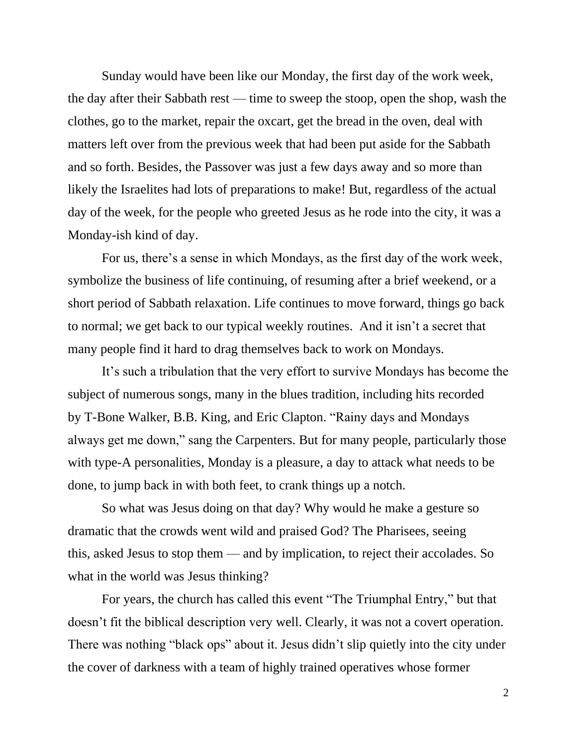Sunday would have been like our Monday, the first day of the work week, the day after their Sabbath rest — time to sweep the stoop, open the shop, wash the clothes, go to the market, repair the oxcart, get the bread in the oven, deal with matters left over from the previous week that had been put aside for the Sabbath and so forth. Besides, the Passover was just a few days away and so more than likely the Israelites had lots of preparations to make! But, regardless of the actual day of the week, for the people who greeted Jesus as he rode into the city, it was a Monday-ish kind of day.

For us, there's a sense in which Mondays, as the first day of the work week, symbolize the business of life continuing, of resuming after a brief weekend, or a short period of Sabbath relaxation. Life continues to move forward, things go back to normal; we get back to our typical weekly routines. And it isn't a secret that many people find it hard to drag themselves back to work on Mondays.

It's such a tribulation that the very effort to survive Mondays has become the subject of numerous songs, many in the blues tradition, including hits recorded by T-Bone Walker, B.B. King, and Eric Clapton. "Rainy days and Mondays always get me down," sang the Carpenters. But for many people, particularly those with type-A personalities, Monday is a pleasure, a day to attack what needs to be done, to jump back in with both feet, to crank things up a notch.

So what was Jesus doing on that day? Why would he make a gesture so dramatic that the crowds went wild and praised God? The Pharisees, seeing this, asked Jesus to stop them — and by implication, to reject their accolades. So what in the world was Jesus thinking?

For years, the church has called this event "The Triumphal Entry," but that doesn't fit the biblical description very well. Clearly, it was not a covert operation. There was nothing "black ops" about it. Jesus didn't slip quietly into the city under the cover of darkness with a team of highly trained operatives whose former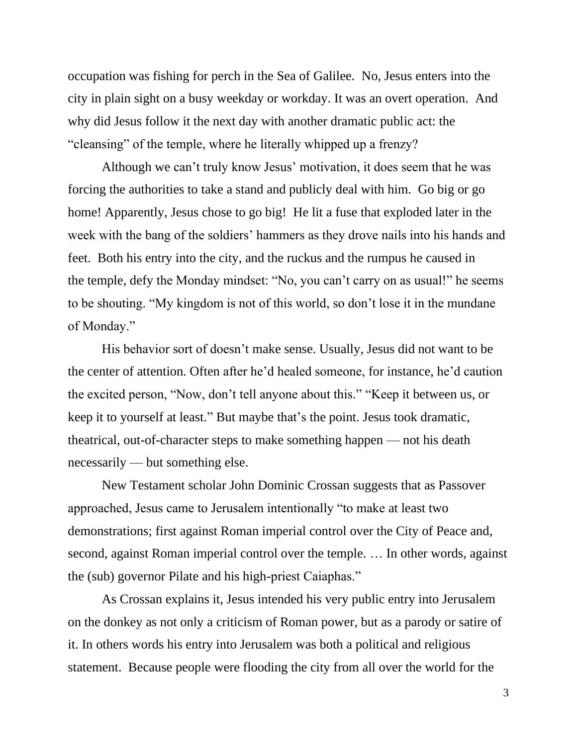occupation was fishing for perch in the Sea of Galilee. No, Jesus enters into the city in plain sight on a busy weekday or workday. It was an overt operation. And why did Jesus follow it the next day with another dramatic public act: the "cleansing" of the temple, where he literally whipped up a frenzy?

Although we can't truly know Jesus' motivation, it does seem that he was forcing the authorities to take a stand and publicly deal with him. Go big or go home! Apparently, Jesus chose to go big! He lit a fuse that exploded later in the week with the bang of the soldiers' hammers as they drove nails into his hands and feet. Both his entry into the city, and the ruckus and the rumpus he caused in the temple, defy the Monday mindset: "No, you can't carry on as usual!" he seems to be shouting. "My kingdom is not of this world, so don't lose it in the mundane of Monday."

His behavior sort of doesn't make sense. Usually, Jesus did not want to be the center of attention. Often after he'd healed someone, for instance, he'd caution the excited person, "Now, don't tell anyone about this." "Keep it between us, or keep it to yourself at least." But maybe that's the point. Jesus took dramatic, theatrical, out-of-character steps to make something happen — not his death necessarily — but something else.

New Testament scholar John Dominic Crossan suggests that as Passover approached, Jesus came to Jerusalem intentionally "to make at least two demonstrations; first against Roman imperial control over the City of Peace and, second, against Roman imperial control over the temple. … In other words, against the (sub) governor Pilate and his high-priest Caiaphas."

As Crossan explains it, Jesus intended his very public entry into Jerusalem on the donkey as not only a criticism of Roman power, but as a parody or satire of it. In others words his entry into Jerusalem was both a political and religious statement. Because people were flooding the city from all over the world for the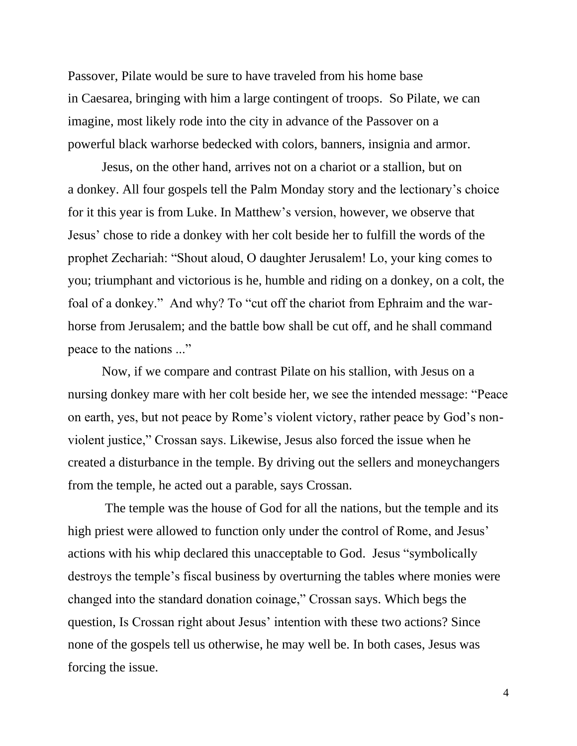Passover, Pilate would be sure to have traveled from his home base in Caesarea, bringing with him a large contingent of troops. So Pilate, we can imagine, most likely rode into the city in advance of the Passover on a powerful black warhorse bedecked with colors, banners, insignia and armor.

Jesus, on the other hand, arrives not on a chariot or a stallion, but on a donkey. All four gospels tell the Palm Monday story and the lectionary's choice for it this year is from Luke. In Matthew's version, however, we observe that Jesus' chose to ride a donkey with her colt beside her to fulfill the words of the prophet Zechariah: "Shout aloud, O daughter Jerusalem! Lo, your king comes to you; triumphant and victorious is he, humble and riding on a donkey, on a colt, the foal of a donkey." And why? To "cut off the chariot from Ephraim and the warhorse from Jerusalem; and the battle bow shall be cut off, and he shall command peace to the nations ..."

Now, if we compare and contrast Pilate on his stallion, with Jesus on a nursing donkey mare with her colt beside her, we see the intended message: "Peace on earth, yes, but not peace by Rome's violent victory, rather peace by God's nonviolent justice," Crossan says. Likewise, Jesus also forced the issue when he created a disturbance in the temple. By driving out the sellers and moneychangers from the temple, he acted out a parable, says Crossan.

The temple was the house of God for all the nations, but the temple and its high priest were allowed to function only under the control of Rome, and Jesus' actions with his whip declared this unacceptable to God. Jesus "symbolically destroys the temple's fiscal business by overturning the tables where monies were changed into the standard donation coinage," Crossan says. Which begs the question, Is Crossan right about Jesus' intention with these two actions? Since none of the gospels tell us otherwise, he may well be. In both cases, Jesus was forcing the issue.